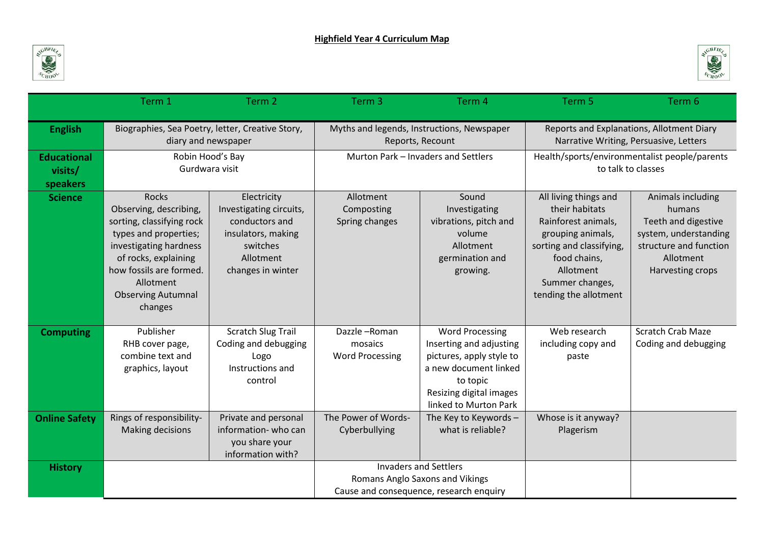



|                                           | Term 1                                                                                                                                                                                                                         | Term 2                                                                                                                       | Term <sub>3</sub>                                                                                          | Term 4                                                                                                                                                                 | Term 5                                                                                                                                                                                   | Term 6                                                                                                                                 |
|-------------------------------------------|--------------------------------------------------------------------------------------------------------------------------------------------------------------------------------------------------------------------------------|------------------------------------------------------------------------------------------------------------------------------|------------------------------------------------------------------------------------------------------------|------------------------------------------------------------------------------------------------------------------------------------------------------------------------|------------------------------------------------------------------------------------------------------------------------------------------------------------------------------------------|----------------------------------------------------------------------------------------------------------------------------------------|
| <b>English</b>                            | Biographies, Sea Poetry, letter, Creative Story,<br>diary and newspaper                                                                                                                                                        |                                                                                                                              | Myths and legends, Instructions, Newspaper<br>Reports, Recount                                             |                                                                                                                                                                        | Reports and Explanations, Allotment Diary<br>Narrative Writing, Persuasive, Letters                                                                                                      |                                                                                                                                        |
| <b>Educational</b><br>visits/<br>speakers | Robin Hood's Bay<br>Gurdwara visit                                                                                                                                                                                             |                                                                                                                              | Murton Park - Invaders and Settlers                                                                        |                                                                                                                                                                        | Health/sports/environmentalist people/parents<br>to talk to classes                                                                                                                      |                                                                                                                                        |
| <b>Science</b>                            | <b>Rocks</b><br>Observing, describing,<br>sorting, classifying rock<br>types and properties;<br>investigating hardness<br>of rocks, explaining<br>how fossils are formed.<br>Allotment<br><b>Observing Autumnal</b><br>changes | Electricity<br>Investigating circuits,<br>conductors and<br>insulators, making<br>switches<br>Allotment<br>changes in winter | Allotment<br>Composting<br>Spring changes                                                                  | Sound<br>Investigating<br>vibrations, pitch and<br>volume<br>Allotment<br>germination and<br>growing.                                                                  | All living things and<br>their habitats<br>Rainforest animals,<br>grouping animals,<br>sorting and classifying,<br>food chains,<br>Allotment<br>Summer changes,<br>tending the allotment | Animals including<br>humans<br>Teeth and digestive<br>system, understanding<br>structure and function<br>Allotment<br>Harvesting crops |
| <b>Computing</b>                          | Publisher<br>RHB cover page,<br>combine text and<br>graphics, layout                                                                                                                                                           | <b>Scratch Slug Trail</b><br>Coding and debugging<br>Logo<br>Instructions and<br>control                                     | Dazzle-Roman<br>mosaics<br><b>Word Processing</b>                                                          | <b>Word Processing</b><br>Inserting and adjusting<br>pictures, apply style to<br>a new document linked<br>to topic<br>Resizing digital images<br>linked to Murton Park | Web research<br>including copy and<br>paste                                                                                                                                              | <b>Scratch Crab Maze</b><br>Coding and debugging                                                                                       |
| <b>Online Safety</b>                      | Rings of responsibility-<br><b>Making decisions</b>                                                                                                                                                                            | Private and personal<br>information-who can<br>you share your<br>information with?                                           | The Power of Words-<br>Cyberbullying                                                                       | The Key to Keywords -<br>what is reliable?                                                                                                                             | Whose is it anyway?<br>Plagerism                                                                                                                                                         |                                                                                                                                        |
| <b>History</b>                            |                                                                                                                                                                                                                                |                                                                                                                              | <b>Invaders and Settlers</b><br>Romans Anglo Saxons and Vikings<br>Cause and consequence, research enquiry |                                                                                                                                                                        |                                                                                                                                                                                          |                                                                                                                                        |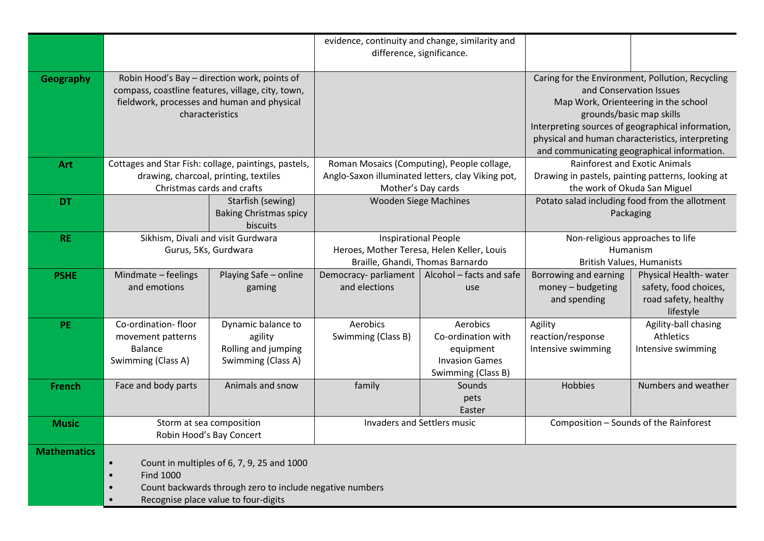|                    |                                                                                                                                                                                 |                                                                            | evidence, continuity and change, similarity and<br>difference, significance.                                  |                                                                                            |                                                                                             |                                                                                                                                         |
|--------------------|---------------------------------------------------------------------------------------------------------------------------------------------------------------------------------|----------------------------------------------------------------------------|---------------------------------------------------------------------------------------------------------------|--------------------------------------------------------------------------------------------|---------------------------------------------------------------------------------------------|-----------------------------------------------------------------------------------------------------------------------------------------|
| <b>Geography</b>   | Robin Hood's Bay - direction work, points of<br>compass, coastline features, village, city, town,                                                                               |                                                                            |                                                                                                               |                                                                                            | Caring for the Environment, Pollution, Recycling<br>and Conservation Issues                 |                                                                                                                                         |
|                    | fieldwork, processes and human and physical<br>characteristics                                                                                                                  |                                                                            |                                                                                                               |                                                                                            | grounds/basic map skills<br>Interpreting sources of geographical information,               | Map Work, Orienteering in the school<br>physical and human characteristics, interpreting<br>and communicating geographical information. |
| Art                | Cottages and Star Fish: collage, paintings, pastels,<br>drawing, charcoal, printing, textiles                                                                                   |                                                                            | Roman Mosaics (Computing), People collage,<br>Anglo-Saxon illuminated letters, clay Viking pot,               |                                                                                            | <b>Rainforest and Exotic Animals</b><br>Drawing in pastels, painting patterns, looking at   |                                                                                                                                         |
| <b>DT</b>          | Christmas cards and crafts                                                                                                                                                      | Starfish (sewing)<br><b>Baking Christmas spicy</b>                         | Mother's Day cards<br><b>Wooden Siege Machines</b>                                                            |                                                                                            | the work of Okuda San Miguel<br>Potato salad including food from the allotment<br>Packaging |                                                                                                                                         |
|                    |                                                                                                                                                                                 | biscuits                                                                   |                                                                                                               |                                                                                            |                                                                                             |                                                                                                                                         |
| <b>RE</b>          | Sikhism, Divali and visit Gurdwara<br>Gurus, 5Ks, Gurdwara                                                                                                                      |                                                                            | <b>Inspirational People</b><br>Heroes, Mother Teresa, Helen Keller, Louis<br>Braille, Ghandi, Thomas Barnardo |                                                                                            | Non-religious approaches to life<br>Humanism<br><b>British Values, Humanists</b>            |                                                                                                                                         |
| <b>PSHE</b>        | Mindmate - feelings<br>and emotions                                                                                                                                             | Playing Safe - online<br>gaming                                            | Democracy-parliament<br>and elections                                                                         | Alcohol - facts and safe<br>use                                                            | Borrowing and earning<br>money - budgeting<br>and spending                                  | Physical Health-water<br>safety, food choices,<br>road safety, healthy<br>lifestyle                                                     |
| <b>PE</b>          | Co-ordination-floor<br>movement patterns<br><b>Balance</b><br>Swimming (Class A)                                                                                                | Dynamic balance to<br>agility<br>Rolling and jumping<br>Swimming (Class A) | Aerobics<br>Swimming (Class B)                                                                                | Aerobics<br>Co-ordination with<br>equipment<br><b>Invasion Games</b><br>Swimming (Class B) | Agility<br>reaction/response<br>Intensive swimming                                          | Agility-ball chasing<br>Athletics<br>Intensive swimming                                                                                 |
| <b>French</b>      | Face and body parts                                                                                                                                                             | Animals and snow                                                           | family                                                                                                        | Sounds<br>pets<br>Easter                                                                   | <b>Hobbies</b>                                                                              | Numbers and weather                                                                                                                     |
| <b>Music</b>       | Storm at sea composition<br>Robin Hood's Bay Concert                                                                                                                            |                                                                            | Invaders and Settlers music                                                                                   |                                                                                            | Composition - Sounds of the Rainforest                                                      |                                                                                                                                         |
| <b>Mathematics</b> | Count in multiples of 6, 7, 9, 25 and 1000<br>$\bullet$<br><b>Find 1000</b><br>Count backwards through zero to include negative numbers<br>Recognise place value to four-digits |                                                                            |                                                                                                               |                                                                                            |                                                                                             |                                                                                                                                         |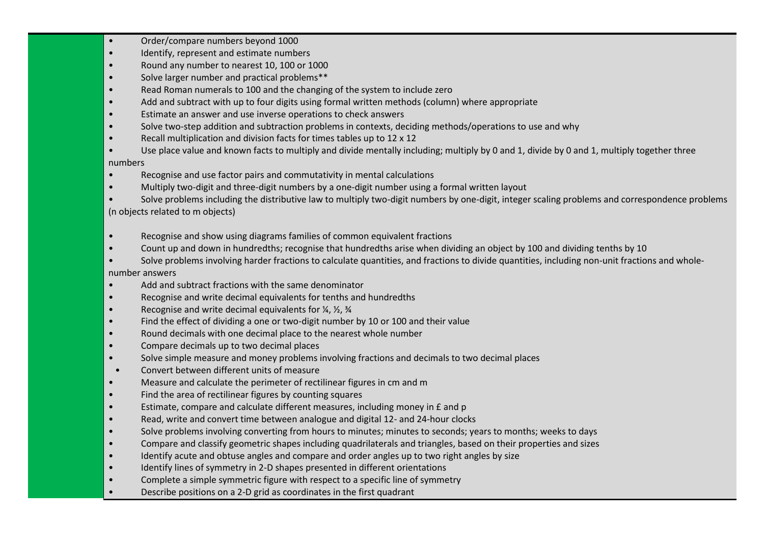- Order/compare numbers beyond 1000
- Identify, represent and estimate numbers
- Round any number to nearest 10, 100 or 1000
- Solve larger number and practical problems\*\*
- Read Roman numerals to 100 and the changing of the system to include zero
- Add and subtract with up to four digits using formal written methods (column) where appropriate
- Estimate an answer and use inverse operations to check answers
- Solve two-step addition and subtraction problems in contexts, deciding methods/operations to use and why
- Recall multiplication and division facts for times tables up to 12 x 12
- Use place value and known facts to multiply and divide mentally including; multiply by 0 and 1, divide by 0 and 1, multiply together three

## numbers

- Recognise and use factor pairs and commutativity in mental calculations
- Multiply two-digit and three-digit numbers by a one-digit number using a formal written layout
- Solve problems including the distributive law to multiply two-digit numbers by one-digit, integer scaling problems and correspondence problems (n objects related to m objects)
- Recognise and show using diagrams families of common equivalent fractions
- Count up and down in hundredths; recognise that hundredths arise when dividing an object by 100 and dividing tenths by 10
- Solve problems involving harder fractions to calculate quantities, and fractions to divide quantities, including non-unit fractions and wholenumber answers
- Add and subtract fractions with the same denominator
- Recognise and write decimal equivalents for tenths and hundredths
- Recognise and write decimal equivalents for  $\frac{1}{4}$ ,  $\frac{1}{2}$ ,  $\frac{3}{4}$
- Find the effect of dividing a one or two-digit number by 10 or 100 and their value
- Round decimals with one decimal place to the nearest whole number
- Compare decimals up to two decimal places
- Solve simple measure and money problems involving fractions and decimals to two decimal places
- Convert between different units of measure
- Measure and calculate the perimeter of rectilinear figures in cm and m
- Find the area of rectilinear figures by counting squares
- Estimate, compare and calculate different measures, including money in £ and p
- Read, write and convert time between analogue and digital 12- and 24-hour clocks
- Solve problems involving converting from hours to minutes; minutes to seconds; years to months; weeks to days
- Compare and classify geometric shapes including quadrilaterals and triangles, based on their properties and sizes
- Identify acute and obtuse angles and compare and order angles up to two right angles by size
- Identify lines of symmetry in 2-D shapes presented in different orientations
- Complete a simple symmetric figure with respect to a specific line of symmetry
- Describe positions on a 2-D grid as coordinates in the first quadrant